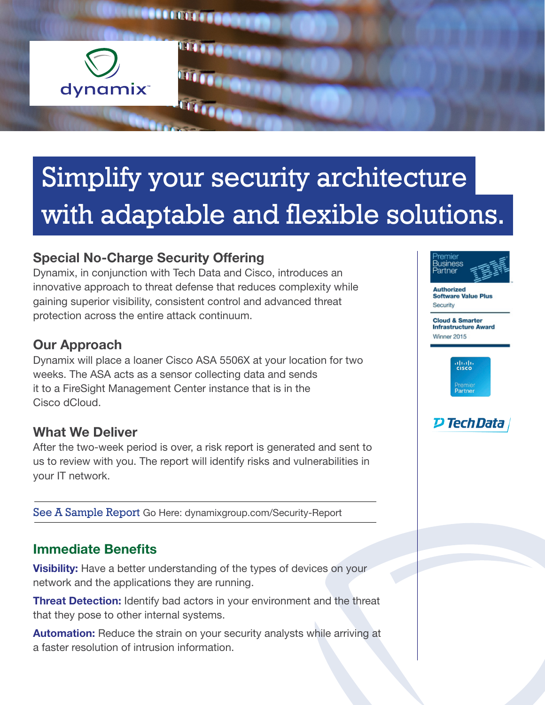

# Simplify your security architecture with adaptable and flexible solutions.

# Special No-Charge Security Offering

Dynamix, in conjunction with Tech Data and Cisco, introduces an innovative approach to threat defense that reduces complexity while gaining superior visibility, consistent control and advanced threat protection across the entire attack continuum.

#### Our Approach

Dynamix will place a loaner Cisco ASA 5506X at your location for two weeks. The ASA acts as a sensor collecting data and sends it to a FireSight Management Center instance that is in the Cisco dCloud.

#### What We Deliver

After the two-week period is over, a risk report is generated and sent to us to review with you. The report will identify risks and vulnerabilities in your IT network.

See A Sample Report [Go Here: dynamixgroup.com/Security-](http://dynamixgroup.com/Security-Report)Report

## Immediate Benefits

**Visibility:** Have a better understanding of the types of devices on your network and the applications they are running.

**Threat Detection:** Identify bad actors in your environment and the threat that they pose to other internal systems.

**Automation:** Reduce the strain on your security analysts while arriving at a faster resolution of intrusion information.



**Authorized Software Value Plus** Security

**Cloud & Smarter Infrastructure Award** Winner 2015